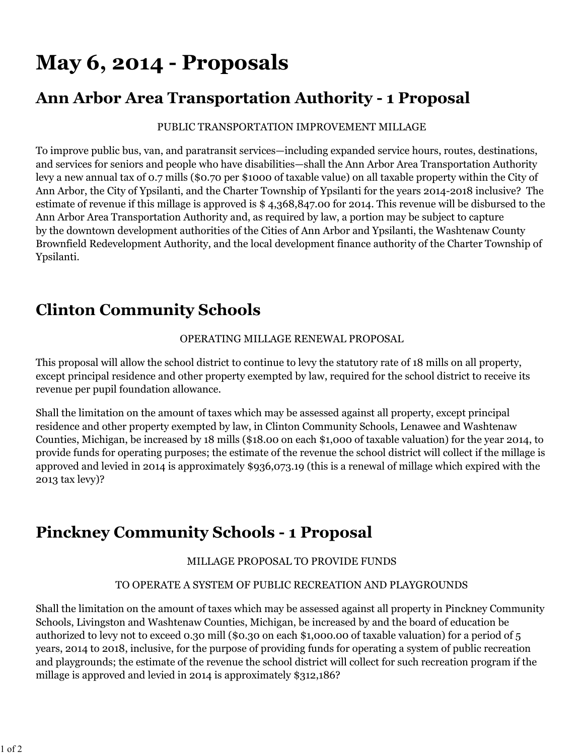# **May 6, 2014 - Proposals**

### **Ann Arbor Area Transportation Authority - 1 Proposal**

#### PUBLIC TRANSPORTATION IMPROVEMENT MILLAGE

To improve public bus, van, and paratransit services—including expanded service hours, routes, destinations, and services for seniors and people who have disabilities—shall the Ann Arbor Area Transportation Authority levy a new annual tax of 0.7 mills (\$0.70 per \$1000 of taxable value) on all taxable property within the City of Ann Arbor, the City of Ypsilanti, and the Charter Township of Ypsilanti for the years 2014-2018 inclusive? The estimate of revenue if this millage is approved is \$ 4,368,847.00 for 2014. This revenue will be disbursed to the Ann Arbor Area Transportation Authority and, as required by law, a portion may be subject to capture by the downtown development authorities of the Cities of Ann Arbor and Ypsilanti, the Washtenaw County Brownfield Redevelopment Authority, and the local development finance authority of the Charter Township of Ypsilanti.

# **Clinton Community Schools**

### OPERATING MILLAGE RENEWAL PROPOSAL

This proposal will allow the school district to continue to levy the statutory rate of 18 mills on all property, except principal residence and other property exempted by law, required for the school district to receive its revenue per pupil foundation allowance.

Shall the limitation on the amount of taxes which may be assessed against all property, except principal residence and other property exempted by law, in Clinton Community Schools, Lenawee and Washtenaw Counties, Michigan, be increased by 18 mills (\$18.00 on each \$1,000 of taxable valuation) for the year 2014, to provide funds for operating purposes; the estimate of the revenue the school district will collect if the millage is approved and levied in 2014 is approximately \$936,073.19 (this is a renewal of millage which expired with the 2013 tax levy)?

### **Pinckney Community Schools - 1 Proposal**

### MILLAGE PROPOSAL TO PROVIDE FUNDS

### TO OPERATE A SYSTEM OF PUBLIC RECREATION AND PLAYGROUNDS

Shall the limitation on the amount of taxes which may be assessed against all property in Pinckney Community Schools, Livingston and Washtenaw Counties, Michigan, be increased by and the board of education be authorized to levy not to exceed 0.30 mill (\$0.30 on each \$1,000.00 of taxable valuation) for a period of 5 years, 2014 to 2018, inclusive, for the purpose of providing funds for operating a system of public recreation and playgrounds; the estimate of the revenue the school district will collect for such recreation program if the millage is approved and levied in 2014 is approximately \$312,186?